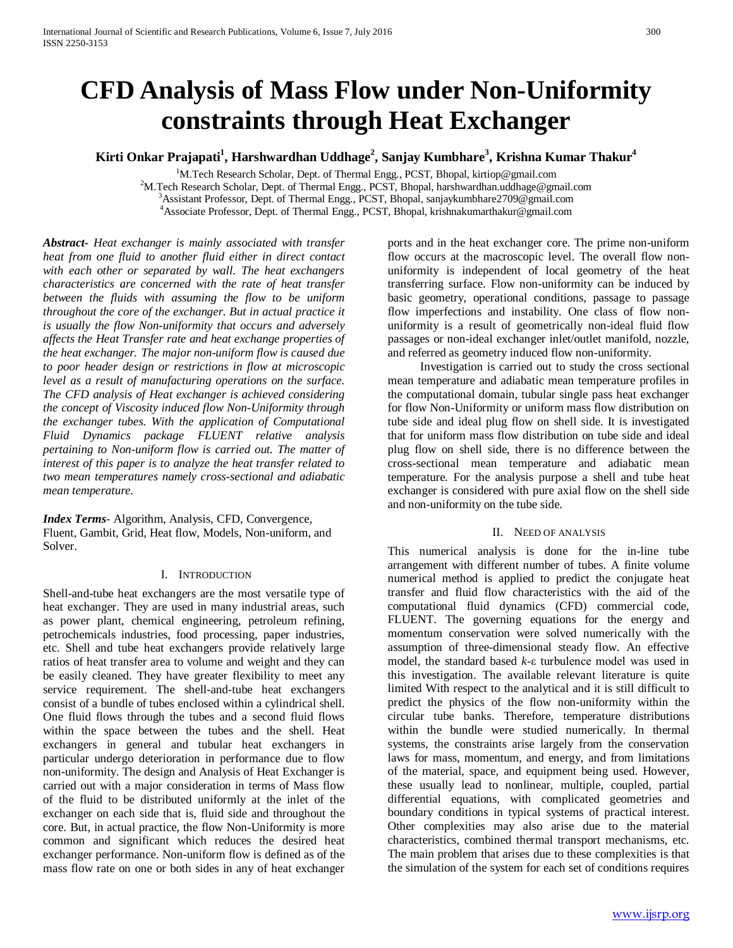# **CFD Analysis of Mass Flow under Non-Uniformity constraints through Heat Exchanger**

**Kirti Onkar Prajapati1 , Harshwardhan Uddhage2 , Sanjay Kumbhare3 , Krishna Kumar Thakur4**

<sup>1</sup>M.Tech Research Scholar, Dept. of Thermal Engg., PCST, Bhopal, kirtiop@gmail.com<br><sup>2</sup>M.Tech Research Scholar, Dept. of Thermal Engg., PCST, Bhopal, barshwardhan uddhage@gm <sup>2</sup>M.Tech Research Scholar, Dept. of Thermal Engg., PCST, Bhopal, harshwardhan.uddhage@gmail.com <sup>3</sup> Assistant Professor, Dept. of Thermal Engg., PCST, Bhopal, sanjaykumbhare 2709@gmail.com Associate Professor, Dept. of Thermal Engg., PCST, Bhopal, krishnakumarthakur@gmail.com

*Abstract***-** *Heat exchanger is mainly associated with transfer heat from one fluid to another fluid either in direct contact with each other or separated by wall. The heat exchangers characteristics are concerned with the rate of heat transfer between the fluids with assuming the flow to be uniform throughout the core of the exchanger. But in actual practice it is usually the flow Non-uniformity that occurs and adversely affects the Heat Transfer rate and heat exchange properties of the heat exchanger. The major non-uniform flow is caused due to poor header design or restrictions in flow at microscopic level as a result of manufacturing operations on the surface. The CFD analysis of Heat exchanger is achieved considering the concept of Viscosity induced flow Non-Uniformity through the exchanger tubes. With the application of Computational Fluid Dynamics package FLUENT relative analysis pertaining to Non-uniform flow is carried out. The matter of interest of this paper is to analyze the heat transfer related to two mean temperatures namely cross-sectional and adiabatic mean temperature.*

*Index Terms*- Algorithm, Analysis, CFD, Convergence, Fluent, Gambit, Grid, Heat flow, Models, Non-uniform, and Solver.

## I. INTRODUCTION

Shell-and-tube heat exchangers are the most versatile type of heat exchanger. They are used in many industrial areas, such as power plant, chemical engineering, petroleum refining, petrochemicals industries, food processing, paper industries, etc. Shell and tube heat exchangers provide relatively large ratios of heat transfer area to volume and weight and they can be easily cleaned. They have greater flexibility to meet any service requirement. The shell-and-tube heat exchangers consist of a bundle of tubes enclosed within a cylindrical shell. One fluid flows through the tubes and a second fluid flows within the space between the tubes and the shell. Heat exchangers in general and tubular heat exchangers in particular undergo deterioration in performance due to flow non-uniformity. The design and Analysis of Heat Exchanger is carried out with a major consideration in terms of Mass flow of the fluid to be distributed uniformly at the inlet of the exchanger on each side that is, fluid side and throughout the core. But, in actual practice, the flow Non-Uniformity is more common and significant which reduces the desired heat exchanger performance. Non-uniform flow is defined as of the mass flow rate on one or both sides in any of heat exchanger

ports and in the heat exchanger core. The prime non-uniform flow occurs at the macroscopic level. The overall flow nonuniformity is independent of local geometry of the heat transferring surface. Flow non-uniformity can be induced by basic geometry, operational conditions, passage to passage flow imperfections and instability. One class of flow nonuniformity is a result of geometrically non-ideal fluid flow passages or non-ideal exchanger inlet/outlet manifold, nozzle, and referred as geometry induced flow non-uniformity.

Investigation is carried out to study the cross sectional mean temperature and adiabatic mean temperature profiles in the computational domain, tubular single pass heat exchanger for flow Non-Uniformity or uniform mass flow distribution on tube side and ideal plug flow on shell side. It is investigated that for uniform mass flow distribution on tube side and ideal plug flow on shell side, there is no difference between the cross-sectional mean temperature and adiabatic mean temperature. For the analysis purpose a shell and tube heat exchanger is considered with pure axial flow on the shell side and non-uniformity on the tube side.

## II. NEED OF ANALYSIS

This numerical analysis is done for the in-line tube arrangement with different number of tubes. A finite volume numerical method is applied to predict the conjugate heat transfer and fluid flow characteristics with the aid of the computational fluid dynamics (CFD) commercial code, FLUENT. The governing equations for the energy and momentum conservation were solved numerically with the assumption of three-dimensional steady flow. An effective model, the standard based *k*-ε turbulence model was used in this investigation. The available relevant literature is quite limited With respect to the analytical and it is still difficult to predict the physics of the flow non-uniformity within the circular tube banks. Therefore, temperature distributions within the bundle were studied numerically. In thermal systems, the constraints arise largely from the conservation laws for mass, momentum, and energy, and from limitations of the material, space, and equipment being used. However, these usually lead to nonlinear, multiple, coupled, partial differential equations, with complicated geometries and boundary conditions in typical systems of practical interest. Other complexities may also arise due to the material characteristics, combined thermal transport mechanisms, etc. The main problem that arises due to these complexities is that the simulation of the system for each set of conditions requires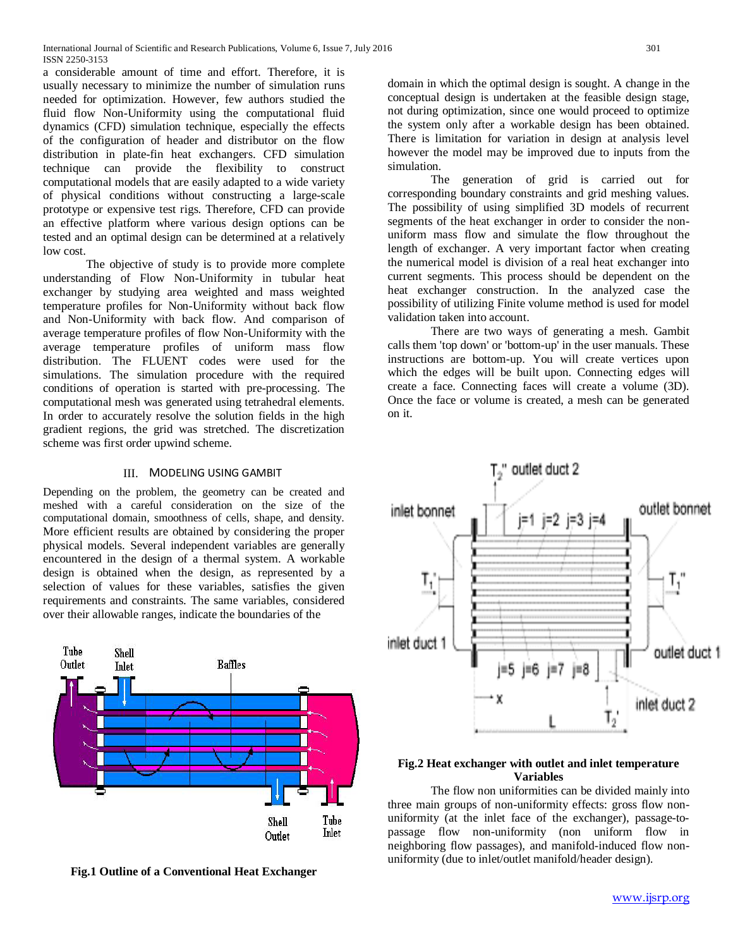a considerable amount of time and effort. Therefore, it is usually necessary to minimize the number of simulation runs needed for optimization. However, few authors studied the fluid flow Non-Uniformity using the computational fluid dynamics (CFD) simulation technique, especially the effects of the configuration of header and distributor on the flow distribution in plate-fin heat exchangers. CFD simulation technique can provide the flexibility to construct computational models that are easily adapted to a wide variety of physical conditions without constructing a large-scale prototype or expensive test rigs. Therefore, CFD can provide an effective platform where various design options can be tested and an optimal design can be determined at a relatively low cost.

The objective of study is to provide more complete understanding of Flow Non-Uniformity in tubular heat exchanger by studying area weighted and mass weighted temperature profiles for Non-Uniformity without back flow and Non-Uniformity with back flow. And comparison of average temperature profiles of flow Non-Uniformity with the average temperature profiles of uniform mass flow distribution. The FLUENT codes were used for the simulations. The simulation procedure with the required conditions of operation is started with pre-processing. The computational mesh was generated using tetrahedral elements. In order to accurately resolve the solution fields in the high gradient regions, the grid was stretched. The discretization scheme was first order upwind scheme.

# III. MODELING USING GAMBIT

Depending on the problem, the geometry can be created and meshed with a careful consideration on the size of the computational domain, smoothness of cells, shape, and density. More efficient results are obtained by considering the proper physical models. Several independent variables are generally encountered in the design of a thermal system. A workable design is obtained when the design, as represented by a selection of values for these variables, satisfies the given requirements and constraints. The same variables, considered over their allowable ranges, indicate the boundaries of the



**Fig.1 Outline of a Conventional Heat Exchanger**

domain in which the optimal design is sought. A change in the conceptual design is undertaken at the feasible design stage, not during optimization, since one would proceed to optimize the system only after a workable design has been obtained. There is limitation for variation in design at analysis level however the model may be improved due to inputs from the simulation.

The generation of grid is carried out for corresponding boundary constraints and grid meshing values. The possibility of using simplified 3D models of recurrent segments of the heat exchanger in order to consider the nonuniform mass flow and simulate the flow throughout the length of exchanger. A very important factor when creating the numerical model is division of a real heat exchanger into current segments. This process should be dependent on the heat exchanger construction. In the analyzed case the possibility of utilizing Finite volume method is used for model validation taken into account.

There are two ways of generating a mesh. Gambit calls them 'top down' or 'bottom-up' in the user manuals. These instructions are bottom-up. You will create vertices upon which the edges will be built upon. Connecting edges will create a face. Connecting faces will create a volume (3D). Once the face or volume is created, a mesh can be generated on it.



# **Fig.2 Heat exchanger with outlet and inlet temperature Variables**

The flow non uniformities can be divided mainly into three main groups of non-uniformity effects: gross flow nonuniformity (at the inlet face of the exchanger), passage-topassage flow non-uniformity (non uniform flow in neighboring flow passages), and manifold-induced flow nonuniformity (due to inlet/outlet manifold/header design).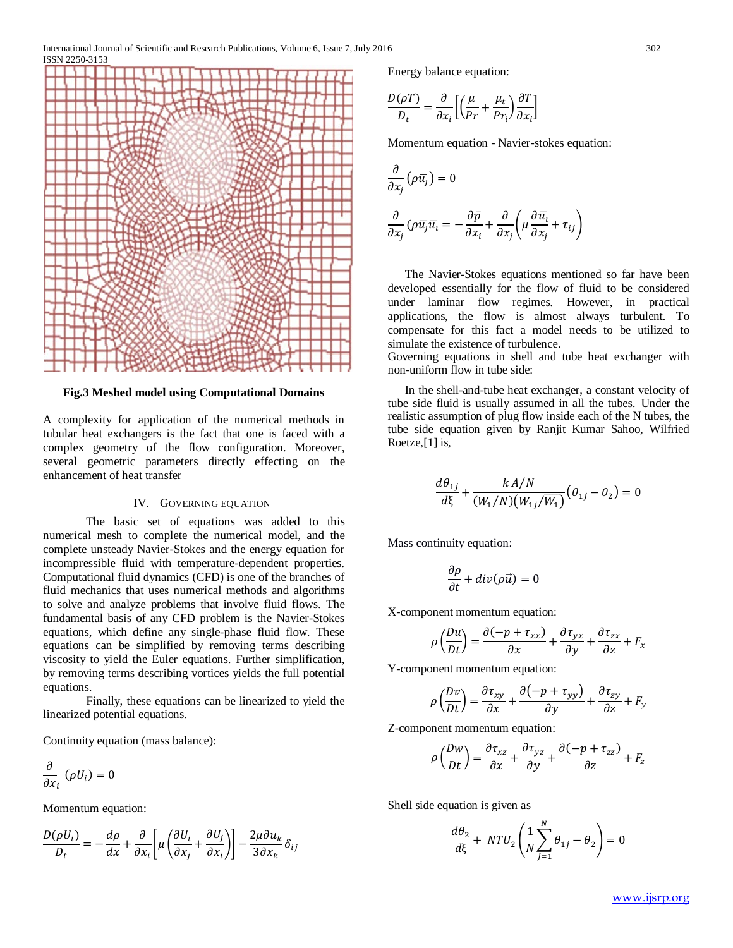International Journal of Scientific and Research Publications, Volume 6, Issue 7, July 2016 302 ISSN 2250-3153



**Fig.3 Meshed model using Computational Domains**

A complexity for application of the numerical methods in tubular heat exchangers is the fact that one is faced with a complex geometry of the flow configuration. Moreover, several geometric parameters directly effecting on the enhancement of heat transfer

#### IV. GOVERNING EQUATION

The basic set of equations was added to this numerical mesh to complete the numerical model, and the complete unsteady Navier-Stokes and the energy equation for incompressible fluid with temperature-dependent properties. Computational fluid dynamics (CFD) is one of the branches of fluid mechanics that uses numerical methods and algorithms to solve and analyze problems that involve fluid flows. The fundamental basis of any CFD problem is the Navier-Stokes equations, which define any single-phase fluid flow. These equations can be simplified by removing terms describing viscosity to yield the Euler equations. Further simplification, by removing terms describing vortices yields the full potential equations.

Finally, these equations can be linearized to yield the linearized potential equations.

Continuity equation (mass balance):

$$
\frac{\partial}{\partial x_i}(\rho U_i)=0
$$

Momentum equation:

$$
\frac{D(\rho U_i)}{D_t} = -\frac{d\rho}{dx} + \frac{\partial}{\partial x_i} \left[ \mu \left( \frac{\partial U_i}{\partial x_j} + \frac{\partial U_j}{\partial x_i} \right) \right] - \frac{2\mu \partial u_k}{3\partial x_k} \delta_{ij}
$$

Energy balance equation:

$$
\frac{D(\rho T)}{D_t} = \frac{\partial}{\partial x_i} \left[ \left( \frac{\mu}{Pr} + \frac{\mu_t}{Pr_i} \right) \frac{\partial T}{\partial x_i} \right]
$$

Momentum equation - Navier-stokes equation:

$$
\frac{\partial}{\partial x_j} (\rho \overline{u_j}) = 0
$$

$$
\frac{\partial}{\partial x_j} (\rho \overline{u_j} \overline{u_i}) = -\frac{\partial \overline{p}}{\partial x_i} + \frac{\partial}{\partial x_j} \left( \mu \frac{\partial \overline{u_i}}{\partial x_j} + \tau_{ij} \right)
$$

The Navier-Stokes equations mentioned so far have been developed essentially for the flow of fluid to be considered under laminar flow regimes. However, in practical applications, the flow is almost always turbulent. To compensate for this fact a model needs to be utilized to simulate the existence of turbulence.

Governing equations in shell and tube heat exchanger with non-uniform flow in tube side:

In the shell-and-tube heat exchanger, a constant velocity of tube side fluid is usually assumed in all the tubes. Under the realistic assumption of plug flow inside each of the N tubes, the tube side equation given by Ranjit Kumar Sahoo, Wilfried Roetze,[1] is,

$$
\frac{d\theta_{1j}}{d\xi} + \frac{k A/N}{(W_1/N)(W_{1j}/\overline{W_1})} (\theta_{1j} - \theta_2) = 0
$$

Mass continuity equation:

$$
\frac{\partial \rho}{\partial t} + div(\rho \vec{u}) = 0
$$

X-component momentum equation:

$$
\rho\left(\frac{Du}{Dt}\right) = \frac{\partial(-p + \tau_{xx})}{\partial x} + \frac{\partial\tau_{yx}}{\partial y} + \frac{\partial\tau_{zx}}{\partial z} + F_x
$$

Y-component momentum equation:

$$
\rho\left(\frac{Dv}{Dt}\right) = \frac{\partial \tau_{xy}}{\partial x} + \frac{\partial (-p + \tau_{yy})}{\partial y} + \frac{\partial \tau_{zy}}{\partial z} + F_y
$$

Z-component momentum equation:

$$
\rho\left(\frac{Dw}{Dt}\right) = \frac{\partial\tau_{xz}}{\partial x} + \frac{\partial\tau_{yz}}{\partial y} + \frac{\partial(-p + \tau_{zz})}{\partial z} + F_z
$$

Shell side equation is given as

$$
\frac{d\theta_2}{d\xi} + NTU_2 \left(\frac{1}{N} \sum_{j=1}^N \theta_{1j} - \theta_2\right) = 0
$$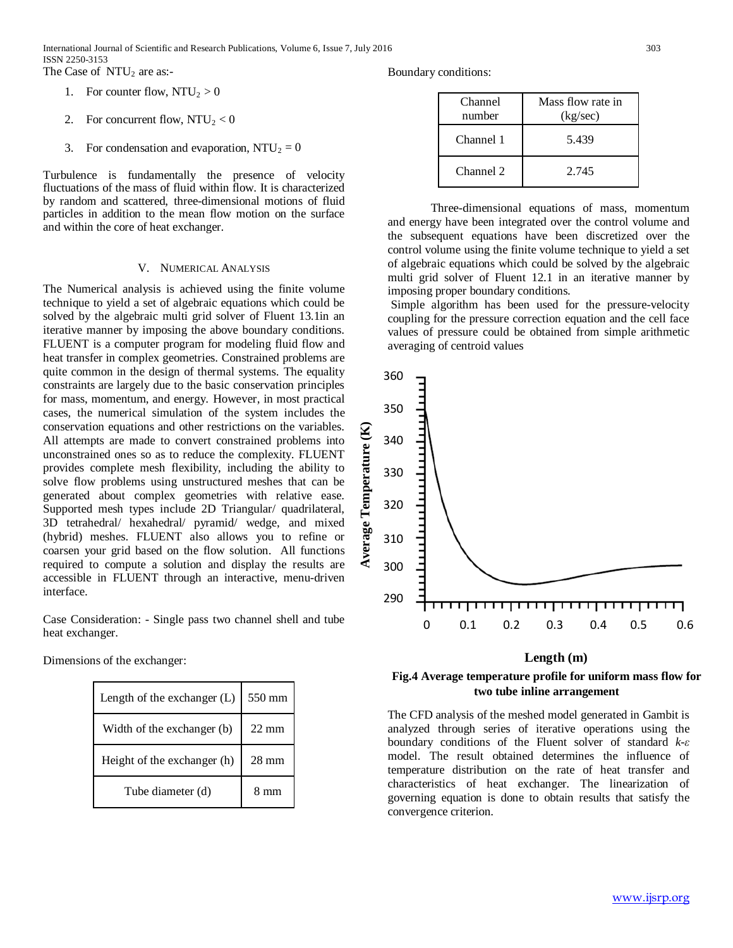International Journal of Scientific and Research Publications, Volume 6, Issue 7, July 2016 303 ISSN 2250-3153 The Case of  $NTU_2$  are as:-

- 1. For counter flow,  $NTU_2 > 0$
- 2. For concurrent flow,  $NTU_2 < 0$
- 3. For condensation and evaporation,  $NTU_2 = 0$

Turbulence is fundamentally the presence of velocity fluctuations of the mass of fluid within flow. It is characterized by random and scattered, three-dimensional motions of fluid particles in addition to the mean flow motion on the surface and within the core of heat exchanger.

#### V. NUMERICAL ANALYSIS

The Numerical analysis is achieved using the finite volume technique to yield a set of algebraic equations which could be solved by the algebraic multi grid solver of Fluent 13.1in an iterative manner by imposing the above boundary conditions. FLUENT is a computer program for modeling fluid flow and heat transfer in complex geometries. Constrained problems are quite common in the design of thermal systems. The equality constraints are largely due to the basic conservation principles for mass, momentum, and energy. However, in most practical cases, the numerical simulation of the system includes the conservation equations and other restrictions on the variables. All attempts are made to convert constrained problems into unconstrained ones so as to reduce the complexity. FLUENT provides complete mesh flexibility, including the ability to solve flow problems using unstructured meshes that can be generated about complex geometries with relative ease. Supported mesh types include 2D Triangular/ quadrilateral, 3D tetrahedral/ hexahedral/ pyramid/ wedge, and mixed (hybrid) meshes. FLUENT also allows you to refine or coarsen your grid based on the flow solution. All functions required to compute a solution and display the results are accessible in FLUENT through an interactive, menu-driven interface.

Case Consideration: - Single pass two channel shell and tube heat exchanger.

Dimensions of the exchanger:

| Length of the exchanger (L) | 550 mm          |
|-----------------------------|-----------------|
| Width of the exchanger (b)  | $22 \text{ mm}$ |
| Height of the exchanger (h) | $28 \text{ mm}$ |
| Tube diameter (d)           | mm              |

Boundary conditions:

| Channel<br>number | Mass flow rate in<br>(kg/sec) |
|-------------------|-------------------------------|
| Channel 1         | 5.439                         |
| Channel 2         | 2.745                         |

Three-dimensional equations of mass, momentum and energy have been integrated over the control volume and the subsequent equations have been discretized over the control volume using the finite volume technique to yield a set of algebraic equations which could be solved by the algebraic multi grid solver of Fluent 12.1 in an iterative manner by imposing proper boundary conditions.

Simple algorithm has been used for the pressure-velocity coupling for the pressure correction equation and the cell face values of pressure could be obtained from simple arithmetic averaging of centroid values



#### **Length (m)**

# two tube inline arrangement **Fig.4 Average temperature profile for uniform mass flow for**

The CFD analysis of the meshed model generated in Gambit is analyzed through series of iterative operations using the boundary conditions of the Fluent solver of standard *k-ε* model. The result obtained determines the influence of temperature distribution on the rate of heat transfer and characteristics of heat exchanger. The linearization of governing equation is done to obtain results that satisfy the convergence criterion.